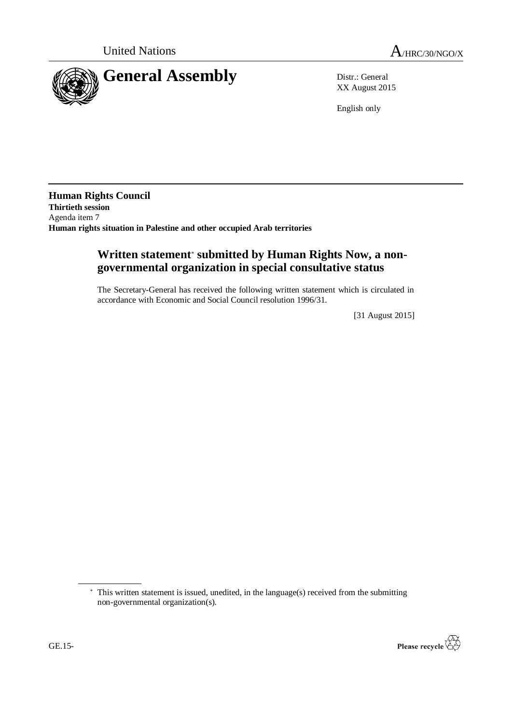

XX August 2015

English only

**Human Rights Council Thirtieth session** Agenda item 7 **Human rights situation in Palestine and other occupied Arab territories**

# **Written statement**\* **submitted by Human Rights Now, a nongovernmental organization in special consultative status**

The Secretary-General has received the following written statement which is circulated in accordance with Economic and Social Council resolution 1996/31.

[31 August 2015]

<sup>\*</sup> This written statement is issued, unedited, in the language(s) received from the submitting non-governmental organization(s).

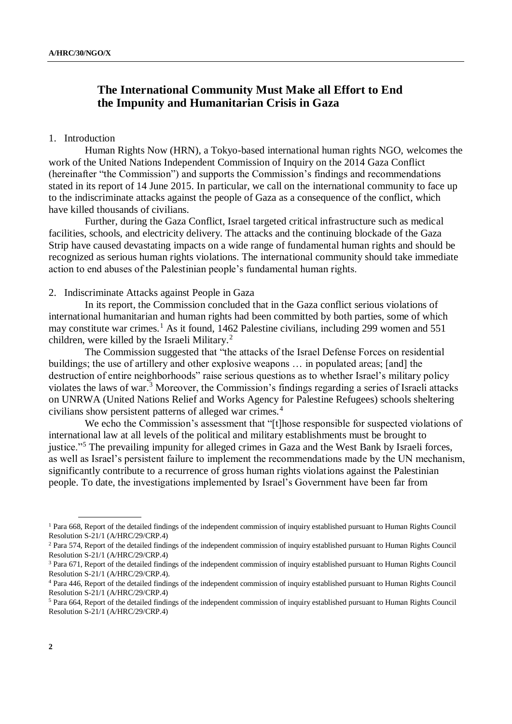# **The International Community Must Make all Effort to End the Impunity and Humanitarian Crisis in Gaza**

### 1. Introduction

Human Rights Now (HRN), a Tokyo-based international human rights NGO, welcomes the work of the United Nations Independent Commission of Inquiry on the 2014 Gaza Conflict (hereinafter "the Commission") and supports the Commission's findings and recommendations stated in its report of 14 June 2015. In particular, we call on the international community to face up to the indiscriminate attacks against the people of Gaza as a consequence of the conflict, which have killed thousands of civilians.

Further, during the Gaza Conflict, Israel targeted critical infrastructure such as medical facilities, schools, and electricity delivery. The attacks and the continuing blockade of the Gaza Strip have caused devastating impacts on a wide range of fundamental human rights and should be recognized as serious human rights violations. The international community should take immediate action to end abuses of the Palestinian people's fundamental human rights.

### 2. Indiscriminate Attacks against People in Gaza

In its report, the Commission concluded that in the Gaza conflict serious violations of international humanitarian and human rights had been committed by both parties, some of which may constitute war crimes.<sup>1</sup> As it found, 1462 Palestine civilians, including 299 women and 551 children, were killed by the Israeli Military.<sup>2</sup>

The Commission suggested that "the attacks of the Israel Defense Forces on residential buildings; the use of artillery and other explosive weapons … in populated areas; [and] the destruction of entire neighborhoods" raise serious questions as to whether Israel's military policy violates the laws of war.<sup>3</sup> Moreover, the Commission's findings regarding a series of Israeli attacks on UNRWA (United Nations Relief and Works Agency for Palestine Refugees) schools sheltering civilians show persistent patterns of alleged war crimes.<sup>4</sup>

We echo the Commission's assessment that "[t]hose responsible for suspected violations of international law at all levels of the political and military establishments must be brought to justice."<sup>5</sup> The prevailing impunity for alleged crimes in Gaza and the West Bank by Israeli forces, as well as Israel's persistent failure to implement the recommendations made by the UN mechanism, significantly contribute to a recurrence of gross human rights violations against the Palestinian people. To date, the investigations implemented by Israel's Government have been far from

<sup>&</sup>lt;sup>1</sup> Para 668, Report of the detailed findings of the independent commission of inquiry established pursuant to Human Rights Council Resolution S-21/1 (A/HRC/29/CRP.4)

<sup>2</sup> Para 574, Report of the detailed findings of the independent commission of inquiry established pursuant to Human Rights Council Resolution S-21/1 (A/HRC/29/CRP.4)

<sup>3</sup> Para 671, Report of the detailed findings of the independent commission of inquiry established pursuant to Human Rights Council Resolution S-21/1 (A/HRC/29/CRP.4).

<sup>4</sup> Para 446, Report of the detailed findings of the independent commission of inquiry established pursuant to Human Rights Council Resolution S-21/1 (A/HRC/29/CRP.4)

<sup>5</sup> Para 664, Report of the detailed findings of the independent commission of inquiry established pursuant to Human Rights Council Resolution S-21/1 (A/HRC/29/CRP.4)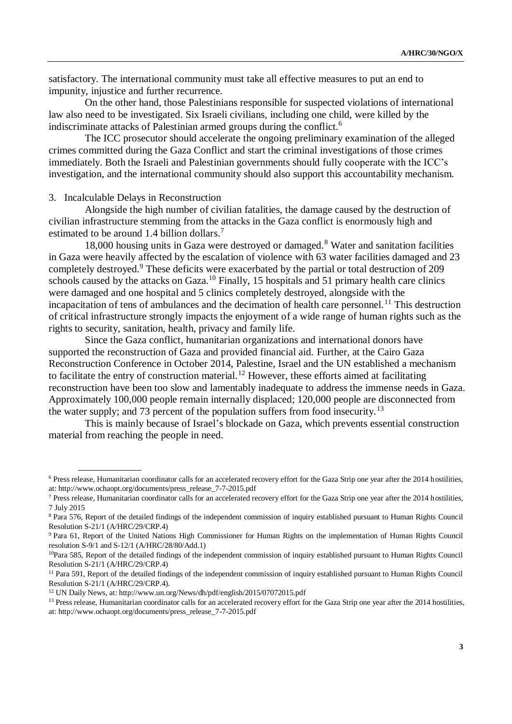satisfactory. The international community must take all effective measures to put an end to impunity, injustice and further recurrence.

On the other hand, those Palestinians responsible for suspected violations of international law also need to be investigated. Six Israeli civilians, including one child, were killed by the indiscriminate attacks of Palestinian armed groups during the conflict.<sup>6</sup>

The ICC prosecutor should accelerate the ongoing preliminary examination of the alleged crimes committed during the Gaza Conflict and start the criminal investigations of those crimes immediately. Both the Israeli and Palestinian governments should fully cooperate with the ICC's investigation, and the international community should also support this accountability mechanism.

#### 3. Incalculable Delays in Reconstruction

Alongside the high number of civilian fatalities, the damage caused by the destruction of civilian infrastructure stemming from the attacks in the Gaza conflict is enormously high and estimated to be around 1.4 billion dollars.<sup>7</sup>

18,000 housing units in Gaza were destroyed or damaged.<sup>8</sup> Water and sanitation facilities in Gaza were heavily affected by the escalation of violence with 63 water facilities damaged and 23 completely destroyed.<sup>9</sup> These deficits were exacerbated by the partial or total destruction of 209 schools caused by the attacks on Gaza.<sup>10</sup> Finally, 15 hospitals and 51 primary health care clinics were damaged and one hospital and 5 clinics completely destroyed, alongside with the incapacitation of tens of ambulances and the decimation of health care personnel.<sup>11</sup> This destruction of critical infrastructure strongly impacts the enjoyment of a wide range of human rights such as the rights to security, sanitation, health, privacy and family life.

Since the Gaza conflict, humanitarian organizations and international donors have supported the reconstruction of Gaza and provided financial aid. Further, at the Cairo Gaza Reconstruction Conference in October 2014, Palestine, Israel and the UN established a mechanism to facilitate the entry of construction material.<sup>12</sup> However, these efforts aimed at facilitating reconstruction have been too slow and lamentably inadequate to address the immense needs in Gaza. Approximately 100,000 people remain internally displaced; 120,000 people are disconnected from the water supply; and 73 percent of the population suffers from food insecurity.<sup>13</sup>

This is mainly because of Israel's blockade on Gaza, which prevents essential construction material from reaching the people in need.

<sup>6</sup> Press release, Humanitarian coordinator calls for an accelerated recovery effort for the Gaza Strip one year after the 2014 hostilities, at: http://www.ochaopt.org/documents/press\_release\_7-7-2015.pdf

 $<sup>7</sup>$  Press release, Humanitarian coordinator calls for an accelerated recovery effort for the Gaza Strip one year after the 2014 hostilities,</sup> 7 July 2015

<sup>8</sup> Para 576, Report of the detailed findings of the independent commission of inquiry established pursuant to Human Rights Council Resolution S-21/1 (A/HRC/29/CRP.4)

<sup>9</sup> Para 61, Report of the United Nations High Commissioner for Human Rights on the implementation of Human Rights Council resolution S-9/1 and S-12/1 (A/HRC/28/80/Add.1)

 $10$ Para 585, Report of the detailed findings of the independent commission of inquiry established pursuant to Human Rights Council Resolution S-21/1 (A/HRC/29/CRP.4)

<sup>&</sup>lt;sup>11</sup> Para 591, Report of the detailed findings of the independent commission of inquiry established pursuant to Human Rights Council Resolution S-21/1 (A/HRC/29/CRP.4).

<sup>12</sup> UN Daily News, at: http://www.un.org/News/dh/pdf/english/2015/07072015.pdf

<sup>&</sup>lt;sup>13</sup> Press release, Humanitarian coordinator calls for an accelerated recovery effort for the Gaza Strip one year after the 2014 hostilities, at: http://www.ochaopt.org/documents/press\_release\_7-7-2015.pdf